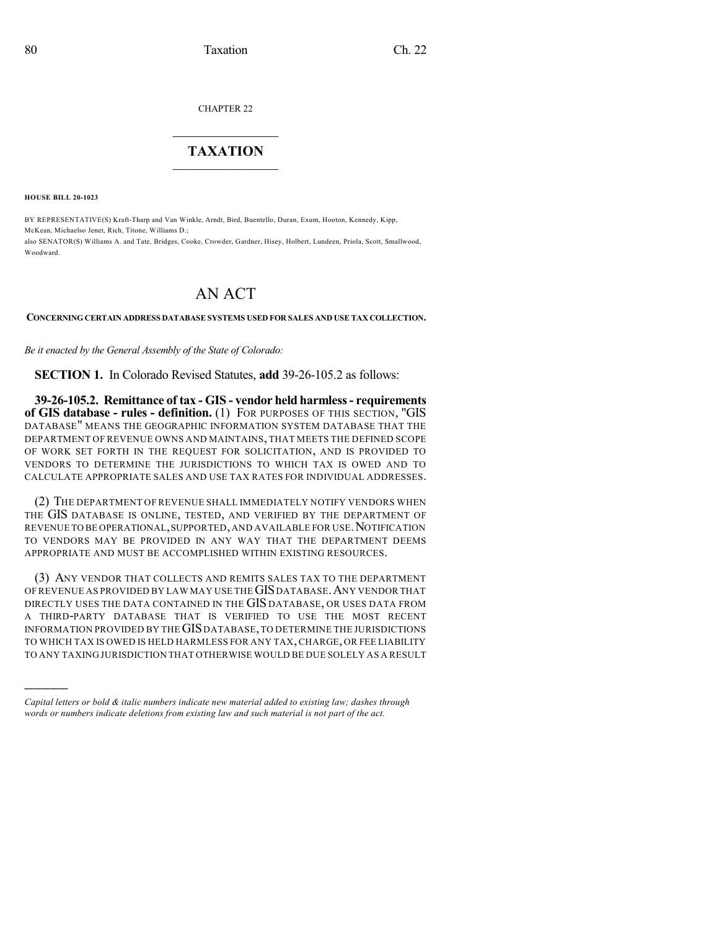CHAPTER 22

## $\overline{\phantom{a}}$  . The set of the set of the set of the set of the set of the set of the set of the set of the set of the set of the set of the set of the set of the set of the set of the set of the set of the set of the set o **TAXATION**  $\_$

**HOUSE BILL 20-1023**

Woodward.

)))))

BY REPRESENTATIVE(S) Kraft-Tharp and Van Winkle, Arndt, Bird, Buentello, Duran, Exum, Hooton, Kennedy, Kipp, McKean, Michaelso Jenet, Rich, Titone, Williams D.; also SENATOR(S) Williams A. and Tate, Bridges, Cooke, Crowder, Gardner, Hisey, Holbert, Lundeen, Priola, Scott, Smallwood,

## AN ACT

## **CONCERNING CERTAIN ADDRESS DATABASE SYSTEMS USED FOR SALES AND USE TAX COLLECTION.**

*Be it enacted by the General Assembly of the State of Colorado:*

**SECTION 1.** In Colorado Revised Statutes, **add** 39-26-105.2 as follows:

**39-26-105.2. Remittance of tax - GIS - vendor held harmless- requirements of GIS database - rules - definition.** (1) FOR PURPOSES OF THIS SECTION, "GIS DATABASE" MEANS THE GEOGRAPHIC INFORMATION SYSTEM DATABASE THAT THE DEPARTMENT OF REVENUE OWNS AND MAINTAINS, THAT MEETS THE DEFINED SCOPE OF WORK SET FORTH IN THE REQUEST FOR SOLICITATION, AND IS PROVIDED TO VENDORS TO DETERMINE THE JURISDICTIONS TO WHICH TAX IS OWED AND TO CALCULATE APPROPRIATE SALES AND USE TAX RATES FOR INDIVIDUAL ADDRESSES.

(2) THE DEPARTMENT OF REVENUE SHALL IMMEDIATELY NOTIFY VENDORS WHEN THE GIS DATABASE IS ONLINE, TESTED, AND VERIFIED BY THE DEPARTMENT OF REVENUE TO BE OPERATIONAL, SUPPORTED, AND AVAILABLE FOR USE. NOTIFICATION TO VENDORS MAY BE PROVIDED IN ANY WAY THAT THE DEPARTMENT DEEMS APPROPRIATE AND MUST BE ACCOMPLISHED WITHIN EXISTING RESOURCES.

(3) ANY VENDOR THAT COLLECTS AND REMITS SALES TAX TO THE DEPARTMENT OF REVENUE AS PROVIDED BY LAW MAY USE THE GIS DATABASE. ANY VENDOR THAT DIRECTLY USES THE DATA CONTAINED IN THE GIS DATABASE, OR USES DATA FROM A THIRD-PARTY DATABASE THAT IS VERIFIED TO USE THE MOST RECENT INFORMATION PROVIDED BY THE GISDATABASE,TO DETERMINE THE JURISDICTIONS TO WHICH TAX IS OWED IS HELD HARMLESS FOR ANY TAX, CHARGE, OR FEE LIABILITY TO ANY TAXING JURISDICTION THAT OTHERWISE WOULD BE DUE SOLELY AS A RESULT

*Capital letters or bold & italic numbers indicate new material added to existing law; dashes through words or numbers indicate deletions from existing law and such material is not part of the act.*